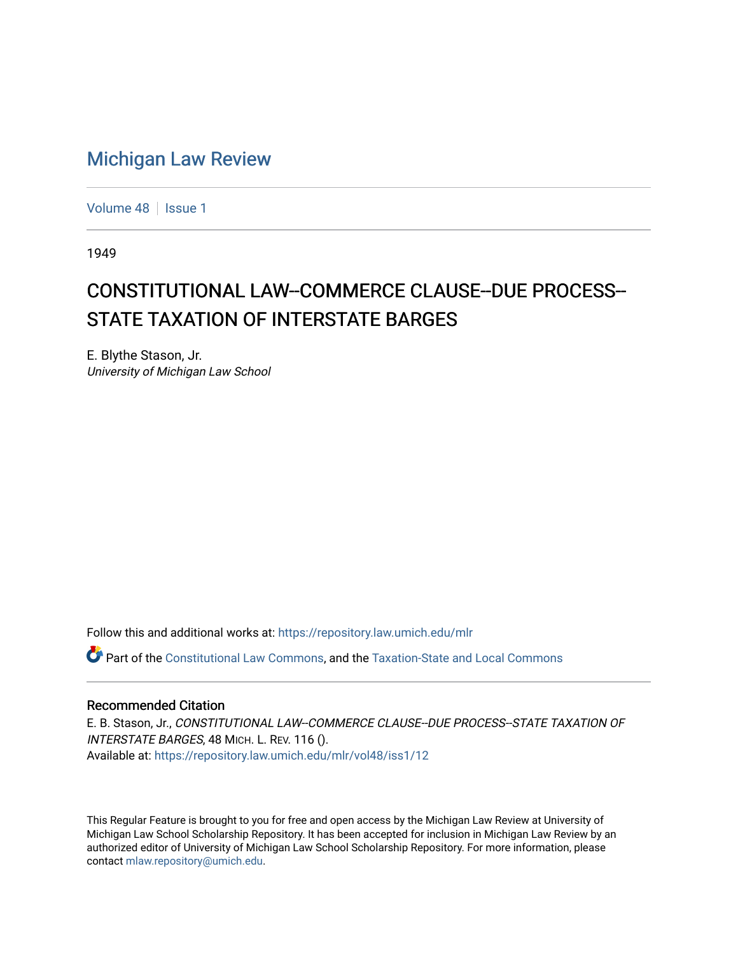## [Michigan Law Review](https://repository.law.umich.edu/mlr)

[Volume 48](https://repository.law.umich.edu/mlr/vol48) | [Issue 1](https://repository.law.umich.edu/mlr/vol48/iss1)

1949

## CONSTITUTIONAL LAW--COMMERCE CLAUSE--DUE PROCESS--STATE TAXATION OF INTERSTATE BARGES

E. Blythe Stason, Jr. University of Michigan Law School

Follow this and additional works at: [https://repository.law.umich.edu/mlr](https://repository.law.umich.edu/mlr?utm_source=repository.law.umich.edu%2Fmlr%2Fvol48%2Fiss1%2F12&utm_medium=PDF&utm_campaign=PDFCoverPages) 

Part of the [Constitutional Law Commons,](http://network.bepress.com/hgg/discipline/589?utm_source=repository.law.umich.edu%2Fmlr%2Fvol48%2Fiss1%2F12&utm_medium=PDF&utm_campaign=PDFCoverPages) and the [Taxation-State and Local Commons](http://network.bepress.com/hgg/discipline/882?utm_source=repository.law.umich.edu%2Fmlr%2Fvol48%2Fiss1%2F12&utm_medium=PDF&utm_campaign=PDFCoverPages)

## Recommended Citation

E. B. Stason, Jr., CONSTITUTIONAL LAW--COMMERCE CLAUSE--DUE PROCESS--STATE TAXATION OF INTERSTATE BARGES, 48 MICH. L. REV. 116 (). Available at: [https://repository.law.umich.edu/mlr/vol48/iss1/12](https://repository.law.umich.edu/mlr/vol48/iss1/12?utm_source=repository.law.umich.edu%2Fmlr%2Fvol48%2Fiss1%2F12&utm_medium=PDF&utm_campaign=PDFCoverPages) 

This Regular Feature is brought to you for free and open access by the Michigan Law Review at University of Michigan Law School Scholarship Repository. It has been accepted for inclusion in Michigan Law Review by an authorized editor of University of Michigan Law School Scholarship Repository. For more information, please contact [mlaw.repository@umich.edu](mailto:mlaw.repository@umich.edu).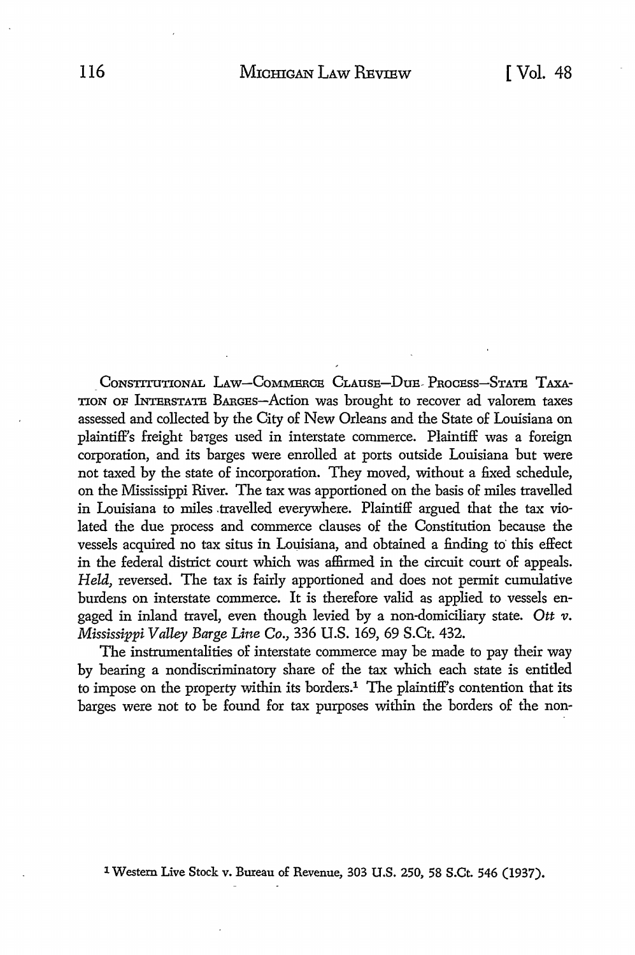CONSTITUTIONAL LAW-COMMERCE CLAUSE-DUE- PROCESS-STATE TAXA-TION OF INTERSTATE BARGES-Action was brought to recover ad valorem taxes assessed and collected by the City of New Orleans and the State of Louisiana on plaintiff's freight ba1ges used in interstate commerce. Plaintiff was a foreign corporation, and its barges were enrolled at ports outside Louisiana but were not taxed by the state of incorporation. They moved, without a fixed schedule, on the Mississippi River. The tax was apportioned on the basis of miles travelled in Louisiana to miles travelled everywhere. Plaintiff argued that the tax violated the due process and commerce clauses of the Constitution because the vessels acquired no tax situs in Louisiana, and obtained a finding to' this effect in the federal district court which was affirmed in the circuit court of appeals. *Held,* reversed. The tax is fairly apportioned and does not permit cumulative burdens on interstate commerce. It is therefore valid as applied to vessels engaged in inland travel, even though levied by a non-domiciliary state. *Ott v. Mississippi Valley Barge Line Co.,* 336 U.S. 169, 69 S.Ct. 432.

The instrumentalities of interstate commerce may be made to pay their way by bearing a nondiscriminatory share of the tax which each state is entitled to impose on the property within its borders.<sup>1</sup> The plaintiff's contention that its barges were not to be found for tax purposes within the borders of the non-